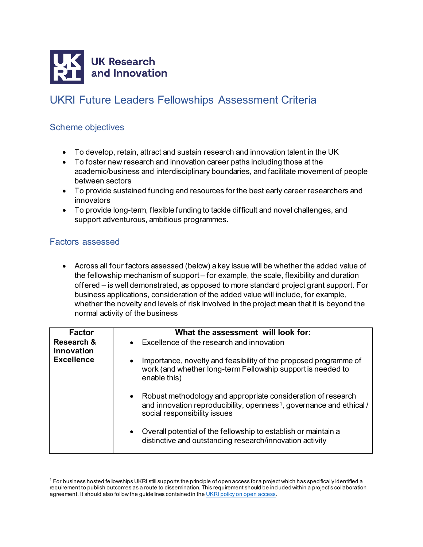

## UKRI Future Leaders Fellowships Assessment Criteria

## Scheme objectives

- To develop, retain, attract and sustain research and innovation talent in the UK
- To foster new research and innovation career paths including those at the academic/business and interdisciplinary boundaries, and facilitate movement of people between sectors
- To provide sustained funding and resources for the best early career researchers and innovators
- To provide long-term, flexible funding to tackle difficult and novel challenges, and support adventurous, ambitious programmes.

## Factors assessed

• Across all four factors assessed (below) a key issue will be whether the added value of the fellowship mechanism of support – for example, the scale, flexibility and duration offered – is well demonstrated, as opposed to more standard project grant support. For business applications, consideration of the added value will include, for example, whether the novelty and levels of risk involved in the project mean that it is beyond the normal activity of the business

| <b>Factor</b>                       | What the assessment will look for:                                                                                                                                                 |
|-------------------------------------|------------------------------------------------------------------------------------------------------------------------------------------------------------------------------------|
| <b>Research &amp;</b><br>Innovation | • Excellence of the research and innovation                                                                                                                                        |
| <b>Excellence</b>                   | Importance, novelty and feasibility of the proposed programme of<br>work (and whether long-term Fellowship support is needed to<br>enable this)                                    |
|                                     | • Robust methodology and appropriate consideration of research<br>and innovation reproducibility, openness <sup>1</sup> , governance and ethical /<br>social responsibility issues |
|                                     | Overall potential of the fellowship to establish or maintain a<br>distinctive and outstanding research/innovation activity                                                         |

<span id="page-0-0"></span> $^1$  For business hosted fellowships UKRI still supports the principle of open access for a project which has specifically identified a requirement to publish outcomes as a route to dissemination. This requirement should be included within a project's collaboration agreement. It should also follow the guidelines contained in th[e UKRI policy on open access](https://www.ukri.org/what-we-offer/supporting-healthy-research-and-innovation-culture/open-research/).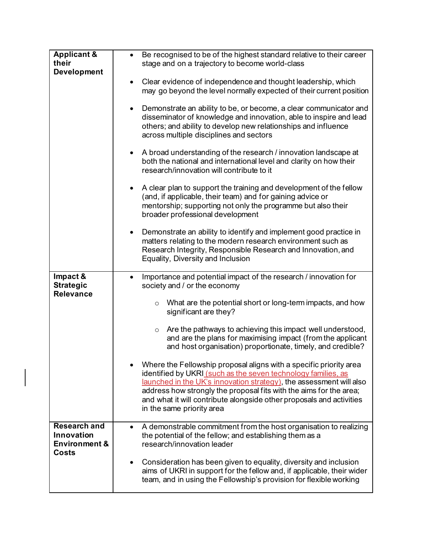| <b>Applicant &amp;</b>                                 | Be recognised to be of the highest standard relative to their career                                                                                                                                                                                                                                                                                                                  |
|--------------------------------------------------------|---------------------------------------------------------------------------------------------------------------------------------------------------------------------------------------------------------------------------------------------------------------------------------------------------------------------------------------------------------------------------------------|
| their                                                  | stage and on a trajectory to become world-class                                                                                                                                                                                                                                                                                                                                       |
| <b>Development</b>                                     |                                                                                                                                                                                                                                                                                                                                                                                       |
|                                                        | Clear evidence of independence and thought leadership, which                                                                                                                                                                                                                                                                                                                          |
|                                                        | may go beyond the level normally expected of their current position                                                                                                                                                                                                                                                                                                                   |
|                                                        | Demonstrate an ability to be, or become, a clear communicator and<br>$\bullet$<br>disseminator of knowledge and innovation, able to inspire and lead<br>others; and ability to develop new relationships and influence<br>across multiple disciplines and sectors                                                                                                                     |
|                                                        | A broad understanding of the research / innovation landscape at<br>$\bullet$<br>both the national and international level and clarity on how their<br>research/innovation will contribute to it                                                                                                                                                                                       |
|                                                        | A clear plan to support the training and development of the fellow<br>$\bullet$<br>(and, if applicable, their team) and for gaining advice or<br>mentorship; supporting not only the programme but also their<br>broader professional development                                                                                                                                     |
|                                                        | Demonstrate an ability to identify and implement good practice in<br>٠<br>matters relating to the modern research environment such as<br>Research Integrity, Responsible Research and Innovation, and<br>Equality, Diversity and Inclusion                                                                                                                                            |
| Impact &                                               | Importance and potential impact of the research / innovation for<br>٠                                                                                                                                                                                                                                                                                                                 |
| <b>Strategic</b>                                       | society and / or the economy                                                                                                                                                                                                                                                                                                                                                          |
| <b>Relevance</b>                                       | What are the potential short or long-term impacts, and how<br>$\circ$<br>significant are they?                                                                                                                                                                                                                                                                                        |
|                                                        | Are the pathways to achieving this impact well understood,<br>$\circ$<br>and are the plans for maximising impact (from the applicant<br>and host organisation) proportionate, timely, and credible?                                                                                                                                                                                   |
|                                                        | Where the Fellowship proposal aligns with a specific priority area<br>identified by UKRI (such as the seven technology families, as<br>launched in the UK's innovation strategy), the assessment will also<br>address how strongly the proposal fits with the aims for the area;<br>and what it will contribute alongside other proposals and activities<br>in the same priority area |
| <b>Research and</b>                                    | A demonstrable commitment from the host organisation to realizing                                                                                                                                                                                                                                                                                                                     |
| Innovation<br><b>Environment &amp;</b><br><b>Costs</b> | the potential of the fellow; and establishing them as a<br>research/innovation leader                                                                                                                                                                                                                                                                                                 |
|                                                        | Consideration has been given to equality, diversity and inclusion<br>aims of UKRI in support for the fellow and, if applicable, their wider                                                                                                                                                                                                                                           |